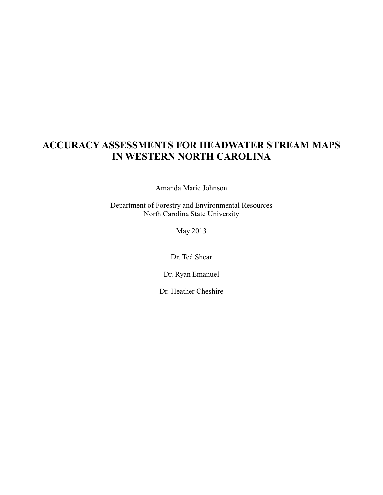# **ACCURACY ASSESSMENTS FOR HEADWATER STREAM MAPS IN WESTERN NORTH CAROLINA**

Amanda Marie Johnson

Department of Forestry and Environmental Resources North Carolina State University

May 2013

Dr. Ted Shear

Dr. Ryan Emanuel

Dr. Heather Cheshire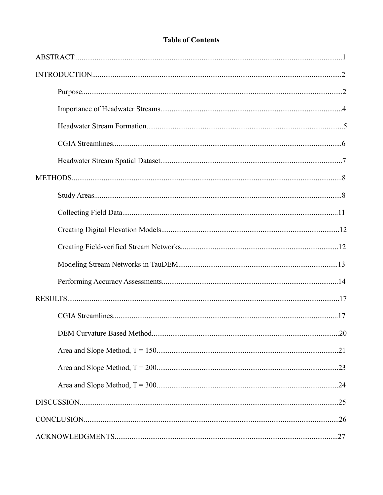## **Table of Contents**

| DEM Curvature Based Method | .20 |
|----------------------------|-----|
|                            |     |
|                            |     |
|                            |     |
|                            |     |
|                            |     |
|                            |     |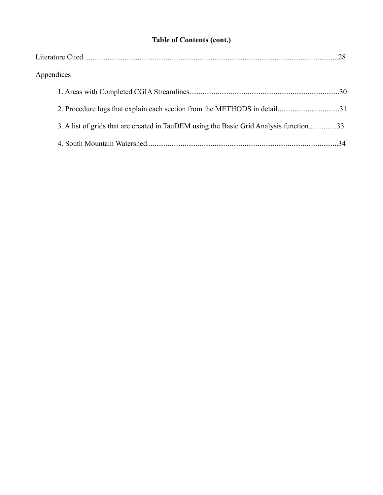# **Table of Contents (cont.)**

| Appendices                                                                             |  |
|----------------------------------------------------------------------------------------|--|
|                                                                                        |  |
| 2. Procedure logs that explain each section from the METHODS in detail31               |  |
| 3. A list of grids that are created in TauDEM using the Basic Grid Analysis function33 |  |
|                                                                                        |  |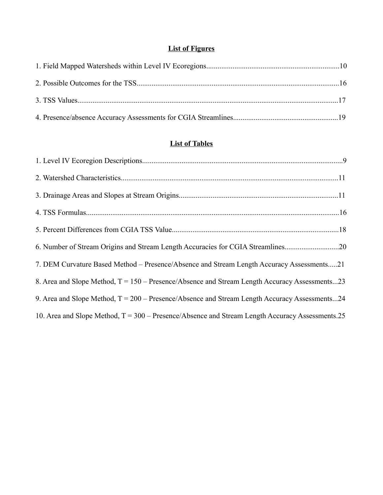## **List of Figures**

## **List of Tables**

| 6. Number of Stream Origins and Stream Length Accuracies for CGIA Streamlines20                        |  |
|--------------------------------------------------------------------------------------------------------|--|
| 7. DEM Curvature Based Method – Presence/Absence and Stream Length Accuracy Assessments21              |  |
| 8. Area and Slope Method, T = 150 – Presence/Absence and Stream Length Accuracy Assessments23          |  |
| 9. Area and Slope Method, $T = 200 - \text{Presence/Absence}$ and Stream Length Accuracy Assessments24 |  |
| 10. Area and Slope Method, $T = 300 -$ Presence/Absence and Stream Length Accuracy Assessments. 25     |  |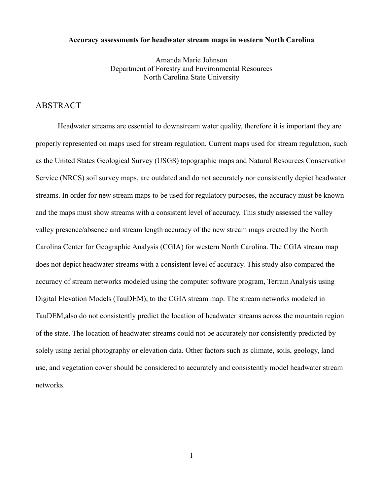#### **Accuracy assessments for headwater stream maps in western North Carolina**

Amanda Marie Johnson Department of Forestry and Environmental Resources North Carolina State University

### ABSTRACT

Headwater streams are essential to downstream water quality, therefore it is important they are properly represented on maps used for stream regulation. Current maps used for stream regulation, such as the United States Geological Survey (USGS) topographic maps and Natural Resources Conservation Service (NRCS) soil survey maps, are outdated and do not accurately nor consistently depict headwater streams. In order for new stream maps to be used for regulatory purposes, the accuracy must be known and the maps must show streams with a consistent level of accuracy. This study assessed the valley valley presence/absence and stream length accuracy of the new stream maps created by the North Carolina Center for Geographic Analysis (CGIA) for western North Carolina. The CGIA stream map does not depict headwater streams with a consistent level of accuracy. This study also compared the accuracy of stream networks modeled using the computer software program, Terrain Analysis using Digital Elevation Models (TauDEM), to the CGIA stream map. The stream networks modeled in TauDEM,also do not consistently predict the location of headwater streams across the mountain region of the state. The location of headwater streams could not be accurately nor consistently predicted by solely using aerial photography or elevation data. Other factors such as climate, soils, geology, land use, and vegetation cover should be considered to accurately and consistently model headwater stream networks.

1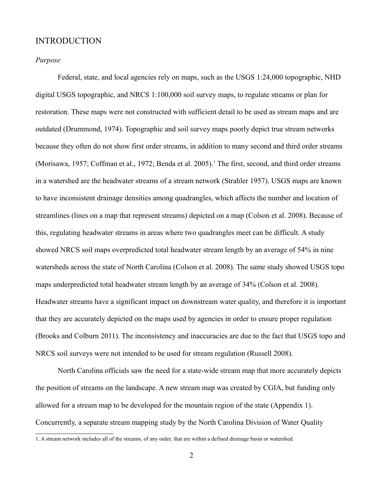### INTRODUCTION

#### *Purpose*

Federal, state, and local agencies rely on maps, such as the USGS 1:24,000 topographic, NHD digital USGS topographic, and NRCS 1:100,000 soil survey maps, to regulate streams or plan for restoration. These maps were not constructed with sufficient detail to be used as stream maps and are outdated (Drummond, 1974). Topographic and soil survey maps poorly depict true stream networks because they often do not show first order streams, in addition to many second and third order streams (Morisawa, [1](#page-5-0)957; Coffman et al., 1972; Benda et al. 2005).<sup>1</sup> The first, second, and third order streams in a watershed are the headwater streams of a stream network (Strahler 1957). USGS maps are known to have inconsistent drainage densities among quadrangles, which affects the number and location of streamlines (lines on a map that represent streams) depicted on a map (Colson et al. 2008). Because of this, regulating headwater streams in areas where two quadrangles meet can be difficult. A study showed NRCS soil maps overpredicted total headwater stream length by an average of 54% in nine watersheds across the state of North Carolina (Colson et al. 2008). The same study showed USGS topo maps underpredicted total headwater stream length by an average of 34% (Colson et al. 2008). Headwater streams have a significant impact on downstream water quality, and therefore it is important that they are accurately depicted on the maps used by agencies in order to ensure proper regulation (Brooks and Colburn 2011). The inconsistency and inaccuracies are due to the fact that USGS topo and NRCS soil surveys were not intended to be used for stream regulation (Russell 2008).

North Carolina officials saw the need for a state-wide stream map that more accurately depicts the position of streams on the landscape. A new stream map was created by CGIA, but funding only allowed for a stream map to be developed for the mountain region of the state (Appendix 1). Concurrently, a separate stream mapping study by the North Carolina Division of Water Quality

<span id="page-5-0"></span><sup>1.</sup> A stream network includes all of the streams, of any order, that are within a defined drainage basin or watershed.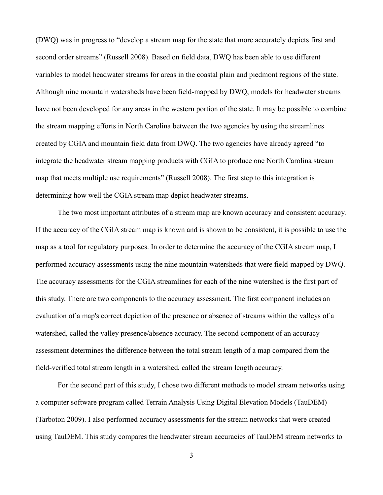(DWQ) was in progress to "develop a stream map for the state that more accurately depicts first and second order streams" (Russell 2008). Based on field data, DWQ has been able to use different variables to model headwater streams for areas in the coastal plain and piedmont regions of the state. Although nine mountain watersheds have been field-mapped by DWQ, models for headwater streams have not been developed for any areas in the western portion of the state. It may be possible to combine the stream mapping efforts in North Carolina between the two agencies by using the streamlines created by CGIA and mountain field data from DWQ. The two agencies have already agreed "to integrate the headwater stream mapping products with CGIA to produce one North Carolina stream map that meets multiple use requirements" (Russell 2008). The first step to this integration is determining how well the CGIA stream map depict headwater streams.

The two most important attributes of a stream map are known accuracy and consistent accuracy. If the accuracy of the CGIA stream map is known and is shown to be consistent, it is possible to use the map as a tool for regulatory purposes. In order to determine the accuracy of the CGIA stream map, I performed accuracy assessments using the nine mountain watersheds that were field-mapped by DWQ. The accuracy assessments for the CGIA streamlines for each of the nine watershed is the first part of this study. There are two components to the accuracy assessment. The first component includes an evaluation of a map's correct depiction of the presence or absence of streams within the valleys of a watershed, called the valley presence/absence accuracy. The second component of an accuracy assessment determines the difference between the total stream length of a map compared from the field-verified total stream length in a watershed, called the stream length accuracy.

For the second part of this study, I chose two different methods to model stream networks using a computer software program called Terrain Analysis Using Digital Elevation Models (TauDEM) (Tarboton 2009). I also performed accuracy assessments for the stream networks that were created using TauDEM. This study compares the headwater stream accuracies of TauDEM stream networks to

3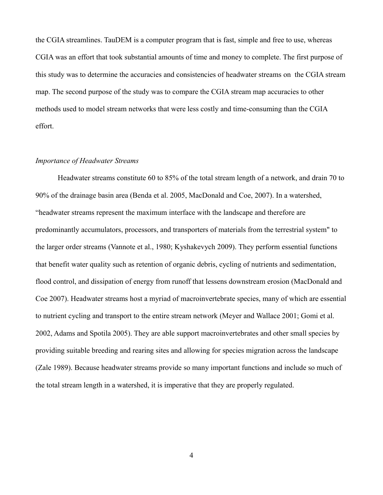the CGIA streamlines. TauDEM is a computer program that is fast, simple and free to use, whereas CGIA was an effort that took substantial amounts of time and money to complete. The first purpose of this study was to determine the accuracies and consistencies of headwater streams on the CGIA stream map. The second purpose of the study was to compare the CGIA stream map accuracies to other methods used to model stream networks that were less costly and time-consuming than the CGIA effort.

#### *Importance of Headwater Streams*

Headwater streams constitute 60 to 85% of the total stream length of a network, and drain 70 to 90% of the drainage basin area (Benda et al. 2005, MacDonald and Coe, 2007). In a watershed, "headwater streams represent the maximum interface with the landscape and therefore are predominantly accumulators, processors, and transporters of materials from the terrestrial system" to the larger order streams (Vannote et al., 1980; Kyshakevych 2009). They perform essential functions that benefit water quality such as retention of organic debris, cycling of nutrients and sedimentation, flood control, and dissipation of energy from runoff that lessens downstream erosion (MacDonald and Coe 2007). Headwater streams host a myriad of macroinvertebrate species, many of which are essential to nutrient cycling and transport to the entire stream network (Meyer and Wallace 2001; Gomi et al. 2002, Adams and Spotila 2005). They are able support macroinvertebrates and other small species by providing suitable breeding and rearing sites and allowing for species migration across the landscape (Zale 1989). Because headwater streams provide so many important functions and include so much of the total stream length in a watershed, it is imperative that they are properly regulated.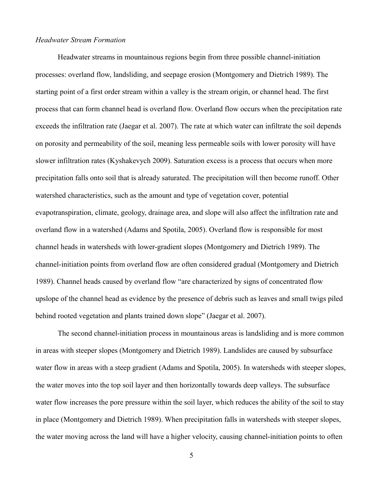#### *Headwater Stream Formation*

Headwater streams in mountainous regions begin from three possible channel-initiation processes: overland flow, landsliding, and seepage erosion (Montgomery and Dietrich 1989). The starting point of a first order stream within a valley is the stream origin, or channel head. The first process that can form channel head is overland flow. Overland flow occurs when the precipitation rate exceeds the infiltration rate (Jaegar et al. 2007). The rate at which water can infiltrate the soil depends on porosity and permeability of the soil, meaning less permeable soils with lower porosity will have slower infiltration rates (Kyshakevych 2009). Saturation excess is a process that occurs when more precipitation falls onto soil that is already saturated. The precipitation will then become runoff. Other watershed characteristics, such as the amount and type of vegetation cover, potential evapotranspiration, climate, geology, drainage area, and slope will also affect the infiltration rate and overland flow in a watershed (Adams and Spotila, 2005). Overland flow is responsible for most channel heads in watersheds with lower-gradient slopes (Montgomery and Dietrich 1989). The channel-initiation points from overland flow are often considered gradual (Montgomery and Dietrich 1989). Channel heads caused by overland flow "are characterized by signs of concentrated flow upslope of the channel head as evidence by the presence of debris such as leaves and small twigs piled behind rooted vegetation and plants trained down slope" (Jaegar et al. 2007).

The second channel-initiation process in mountainous areas is landsliding and is more common in areas with steeper slopes (Montgomery and Dietrich 1989). Landslides are caused by subsurface water flow in areas with a steep gradient (Adams and Spotila, 2005). In watersheds with steeper slopes, the water moves into the top soil layer and then horizontally towards deep valleys. The subsurface water flow increases the pore pressure within the soil layer, which reduces the ability of the soil to stay in place (Montgomery and Dietrich 1989). When precipitation falls in watersheds with steeper slopes, the water moving across the land will have a higher velocity, causing channel-initiation points to often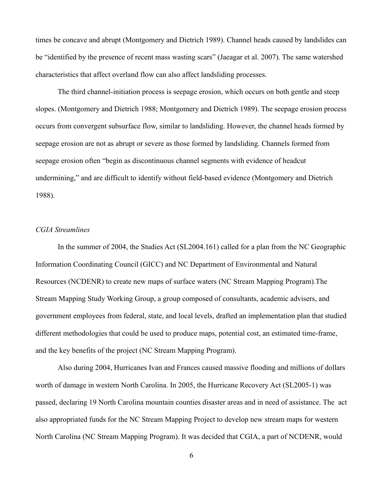times be concave and abrupt (Montgomery and Dietrich 1989). Channel heads caused by landslides can be "identified by the presence of recent mass wasting scars" (Jaeagar et al. 2007). The same watershed characteristics that affect overland flow can also affect landsliding processes.

The third channel-initiation process is seepage erosion, which occurs on both gentle and steep slopes. (Montgomery and Dietrich 1988; Montgomery and Dietrich 1989). The seepage erosion process occurs from convergent subsurface flow, similar to landsliding. However, the channel heads formed by seepage erosion are not as abrupt or severe as those formed by landsliding. Channels formed from seepage erosion often "begin as discontinuous channel segments with evidence of headcut undermining," and are difficult to identify without field-based evidence (Montgomery and Dietrich 1988).

#### *CGIA Streamlines*

In the summer of 2004, the Studies Act (SL2004.161) called for a plan from the NC Geographic Information Coordinating Council (GICC) and NC Department of Environmental and Natural Resources (NCDENR) to create new maps of surface waters (NC Stream Mapping Program).The Stream Mapping Study Working Group, a group composed of consultants, academic advisers, and government employees from federal, state, and local levels, drafted an implementation plan that studied different methodologies that could be used to produce maps, potential cost, an estimated time-frame, and the key benefits of the project (NC Stream Mapping Program).

Also during 2004, Hurricanes Ivan and Frances caused massive flooding and millions of dollars worth of damage in western North Carolina. In 2005, the Hurricane Recovery Act (SL2005-1) was passed, declaring 19 North Carolina mountain counties disaster areas and in need of assistance. The act also appropriated funds for the NC Stream Mapping Project to develop new stream maps for western North Carolina (NC Stream Mapping Program). It was decided that CGIA, a part of NCDENR, would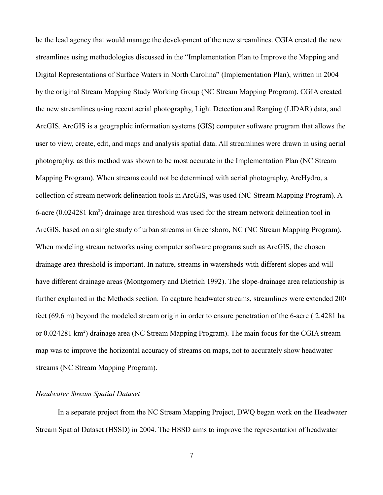be the lead agency that would manage the development of the new streamlines. CGIA created the new streamlines using methodologies discussed in the "Implementation Plan to Improve the Mapping and Digital Representations of Surface Waters in North Carolina" (Implementation Plan), written in 2004 by the original Stream Mapping Study Working Group (NC Stream Mapping Program). CGIA created the new streamlines using recent aerial photography, Light Detection and Ranging (LIDAR) data, and ArcGIS. ArcGIS is a geographic information systems (GIS) computer software program that allows the user to view, create, edit, and maps and analysis spatial data. All streamlines were drawn in using aerial photography, as this method was shown to be most accurate in the Implementation Plan (NC Stream Mapping Program). When streams could not be determined with aerial photography, ArcHydro, a collection of stream network delineation tools in ArcGIS, was used (NC Stream Mapping Program). A 6-acre  $(0.024281 \text{ km}^2)$  drainage area threshold was used for the stream network delineation tool in ArcGIS, based on a single study of urban streams in Greensboro, NC (NC Stream Mapping Program). When modeling stream networks using computer software programs such as ArcGIS, the chosen drainage area threshold is important. In nature, streams in watersheds with different slopes and will have different drainage areas (Montgomery and Dietrich 1992). The slope-drainage area relationship is further explained in the Methods section. To capture headwater streams, streamlines were extended 200 feet (69.6 m) beyond the modeled stream origin in order to ensure penetration of the 6-acre ( 2.4281 ha or 0.024281 km<sup>2</sup>) drainage area (NC Stream Mapping Program). The main focus for the CGIA stream map was to improve the horizontal accuracy of streams on maps, not to accurately show headwater streams (NC Stream Mapping Program).

#### *Headwater Stream Spatial Dataset*

In a separate project from the NC Stream Mapping Project, DWQ began work on the Headwater Stream Spatial Dataset (HSSD) in 2004. The HSSD aims to improve the representation of headwater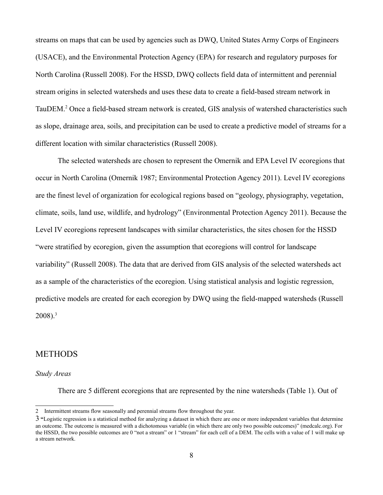streams on maps that can be used by agencies such as DWQ, United States Army Corps of Engineers (USACE), and the Environmental Protection Agency (EPA) for research and regulatory purposes for North Carolina (Russell 2008). For the HSSD, DWQ collects field data of intermittent and perennial stream origins in selected watersheds and uses these data to create a field-based stream network in TauDEM.[2](#page-11-0) Once a field-based stream network is created, GIS analysis of watershed characteristics such as slope, drainage area, soils, and precipitation can be used to create a predictive model of streams for a different location with similar characteristics (Russell 2008).

The selected watersheds are chosen to represent the Omernik and EPA Level IV ecoregions that occur in North Carolina (Omernik 1987; Environmental Protection Agency 2011). Level IV ecoregions are the finest level of organization for ecological regions based on "geology, physiography, vegetation, climate, soils, land use, wildlife, and hydrology" (Environmental Protection Agency 2011). Because the Level IV ecoregions represent landscapes with similar characteristics, the sites chosen for the HSSD "were stratified by ecoregion, given the assumption that ecoregions will control for landscape variability" (Russell 2008). The data that are derived from GIS analysis of the selected watersheds act as a sample of the characteristics of the ecoregion. Using statistical analysis and logistic regression, predictive models are created for each ecoregion by DWQ using the field-mapped watersheds (Russell  $2008$ ).<sup>[3](#page-11-1)</sup>

## METHODS

#### *Study Areas*

There are 5 different ecoregions that are represented by the nine watersheds (Table 1). Out of

<span id="page-11-0"></span><sup>2</sup> Intermittent streams flow seasonally and perennial streams flow throughout the year.

<span id="page-11-1"></span><sup>3</sup> **"**Logistic regression is a statistical method for analyzing a dataset in which there are one or more independent variables that determine an outcome. The outcome is measured with a dichotomous variable (in which there are only two possible outcomes)" (medcalc.org). For the HSSD, the two possible outcomes are 0 "not a stream" or 1 "stream" for each cell of a DEM. The cells with a value of 1 will make up a stream network.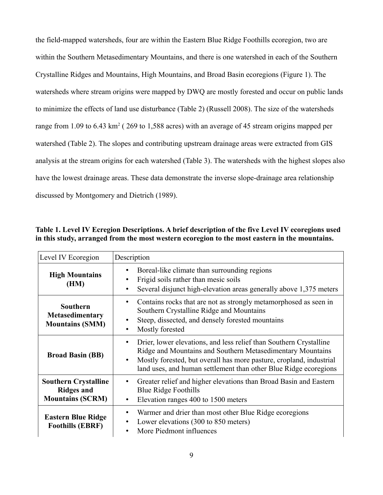the field-mapped watersheds, four are within the Eastern Blue Ridge Foothills ecoregion, two are within the Southern Metasedimentary Mountains, and there is one watershed in each of the Southern Crystalline Ridges and Mountains, High Mountains, and Broad Basin ecoregions (Figure 1). The watersheds where stream origins were mapped by DWQ are mostly forested and occur on public lands to minimize the effects of land use disturbance (Table 2) (Russell 2008). The size of the watersheds range from 1.09 to 6.43  $km^2$  (269 to 1,588 acres) with an average of 45 stream origins mapped per watershed (Table 2). The slopes and contributing upstream drainage areas were extracted from GIS analysis at the stream origins for each watershed (Table 3). The watersheds with the highest slopes also have the lowest drainage areas. These data demonstrate the inverse slope-drainage area relationship discussed by Montgomery and Dietrich (1989).

| Level IV Ecoregion                                                          | Description                                                                                                                                                                                                                                                                      |
|-----------------------------------------------------------------------------|----------------------------------------------------------------------------------------------------------------------------------------------------------------------------------------------------------------------------------------------------------------------------------|
| <b>High Mountains</b><br>(HM)                                               | Boreal-like climate than surrounding regions<br>Frigid soils rather than mesic soils<br>Several disjunct high-elevation areas generally above 1,375 meters<br>٠                                                                                                                  |
| <b>Southern</b><br><b>Metasedimentary</b><br><b>Mountains (SMM)</b>         | Contains rocks that are not as strongly metamorphosed as seen in<br>$\bullet$<br>Southern Crystalline Ridge and Mountains<br>Steep, dissected, and densely forested mountains<br>Mostly forested<br>٠                                                                            |
| <b>Broad Basin (BB)</b>                                                     | Drier, lower elevations, and less relief than Southern Crystalline<br>٠<br>Ridge and Mountains and Southern Metasedimentary Mountains<br>Mostly forested, but overall has more pasture, cropland, industrial<br>land uses, and human settlement than other Blue Ridge ecoregions |
| <b>Southern Crystalline</b><br><b>Ridges and</b><br><b>Mountains (SCRM)</b> | Greater relief and higher elevations than Broad Basin and Eastern<br><b>Blue Ridge Foothills</b><br>Elevation ranges 400 to 1500 meters<br>$\bullet$                                                                                                                             |
| <b>Eastern Blue Ridge</b><br><b>Foothills (EBRF)</b>                        | Warmer and drier than most other Blue Ridge ecoregions<br>٠<br>Lower elevations (300 to 850 meters)<br>٠<br>More Piedmont influences                                                                                                                                             |

**Table 1. Level IV Ecregion Descriptions. A brief description of the five Level IV ecoregions used in this study, arranged from the most western ecoregion to the most eastern in the mountains.**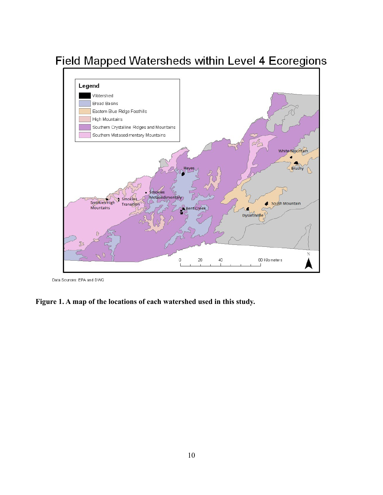

Field Mapped Watersheds within Level 4 Ecoregions

Data Sources: EPA and DWQ

**Figure 1. A map of the locations of each watershed used in this study.**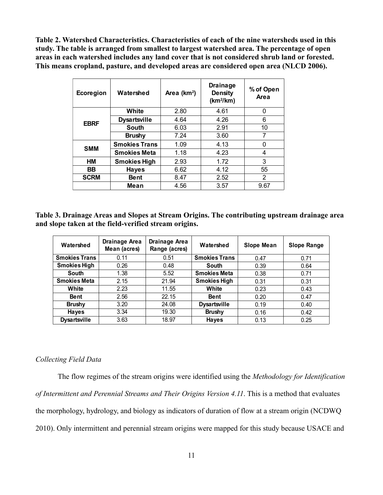**Table 2. Watershed Characteristics. Characteristics of each of the nine watersheds used in this study. The table is arranged from smallest to largest watershed area. The percentage of open areas in each watershed includes any land cover that is not considered shrub land or forested. This means cropland, pasture, and developed areas are considered open area (NLCD 2006).**

| Ecoregion   | Watershed            | Area $(km2)$ | <b>Drainage</b><br><b>Density</b><br>$(km^2/km)$ | % of Open<br>Area |
|-------------|----------------------|--------------|--------------------------------------------------|-------------------|
|             | White                | 2.80         | 4.61                                             | 0                 |
| <b>EBRF</b> | <b>Dysartsville</b>  | 4.64         | 4.26                                             | 6                 |
|             | <b>South</b>         | 6.03         | 2.91                                             | 10                |
|             | <b>Brushy</b>        | 7.24         | 3.60                                             | 7                 |
|             | <b>Smokies Trans</b> | 1.09         | 4.13                                             | 0                 |
| <b>SMM</b>  | <b>Smokies Meta</b>  | 1.18         | 4.23                                             | 4                 |
| HM          | <b>Smokies High</b>  | 2.93         | 1.72                                             | 3                 |
| <b>BB</b>   | <b>Hayes</b>         | 6.62         | 4.12                                             | 55                |
| <b>SCRM</b> | <b>Bent</b>          | 8.47         | 2.52                                             | 2                 |
|             | Mean                 | 4.56         | 3.57                                             | 9.67              |

**Table 3. Drainage Areas and Slopes at Stream Origins. The contributing upstream drainage area and slope taken at the field-verified stream origins.**

| Watershed            | Drainage Area<br>Mean (acres) | <b>Drainage Area</b><br>Range (acres) | Watershed            |      | <b>Slope Range</b> |
|----------------------|-------------------------------|---------------------------------------|----------------------|------|--------------------|
| <b>Smokies Trans</b> | 0.11                          | 0.51                                  | <b>Smokies Trans</b> | 0.47 | 0.71               |
| <b>Smokies High</b>  | 0.26                          | 0.48                                  | South                | 0.39 | 0.64               |
| South                | 1.38                          | 5.52                                  | <b>Smokies Meta</b>  | 0.38 | 0.71               |
| <b>Smokies Meta</b>  | 2.15                          | 21.94                                 | <b>Smokies High</b>  | 0.31 | 0.31               |
| White                | 2.23                          | 11.55                                 | White                | 0.23 | 0.43               |
| <b>Bent</b>          | 2.56                          | 22.15                                 | <b>Bent</b>          | 0.20 | 0.47               |
| <b>Brushy</b>        | 3.20                          | 24.08                                 | <b>Dysartsville</b>  | 0.19 | 0.40               |
| <b>Hayes</b>         | 3.34                          | 19.30                                 | <b>Brushy</b>        | 0.16 | 0.42               |
| <b>Dysartsville</b>  | 3.63                          | 18.97                                 | <b>Hayes</b>         | 0.13 | 0.25               |

#### *Collecting Field Data*

The flow regimes of the stream origins were identified using the *Methodology for Identification of Intermittent and Perennial Streams and Their Origins Version 4.11*. This is a method that evaluates the morphology, hydrology, and biology as indicators of duration of flow at a stream origin (NCDWQ 2010). Only intermittent and perennial stream origins were mapped for this study because USACE and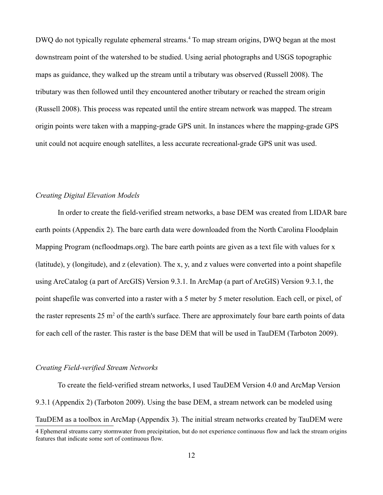DWQ do not typically regulate ephemeral streams.<sup>[4](#page-15-0)</sup> To map stream origins, DWQ began at the most downstream point of the watershed to be studied. Using aerial photographs and USGS topographic maps as guidance, they walked up the stream until a tributary was observed (Russell 2008). The tributary was then followed until they encountered another tributary or reached the stream origin (Russell 2008). This process was repeated until the entire stream network was mapped. The stream origin points were taken with a mapping-grade GPS unit. In instances where the mapping-grade GPS unit could not acquire enough satellites, a less accurate recreational-grade GPS unit was used.

#### *Creating Digital Elevation Models*

In order to create the field-verified stream networks, a base DEM was created from LIDAR bare earth points (Appendix 2). The bare earth data were downloaded from the North Carolina Floodplain Mapping Program (ncfloodmaps.org). The bare earth points are given as a text file with values for x (latitude), y (longitude), and z (elevation). The x, y, and z values were converted into a point shapefile using ArcCatalog (a part of ArcGIS) Version 9.3.1. In ArcMap (a part of ArcGIS) Version 9.3.1, the point shapefile was converted into a raster with a 5 meter by 5 meter resolution. Each cell, or pixel, of the raster represents  $25 \text{ m}^2$  of the earth's surface. There are approximately four bare earth points of data for each cell of the raster. This raster is the base DEM that will be used in TauDEM (Tarboton 2009).

#### *Creating Field-verified Stream Networks*

To create the field-verified stream networks, I used TauDEM Version 4.0 and ArcMap Version 9.3.1 (Appendix 2) (Tarboton 2009). Using the base DEM, a stream network can be modeled using TauDEM as a toolbox in ArcMap (Appendix 3). The initial stream networks created by TauDEM were 4 Ephemeral streams carry stormwater from precipitation, but do not experience continuous flow and lack the stream origins

<span id="page-15-0"></span>features that indicate some sort of continuous flow.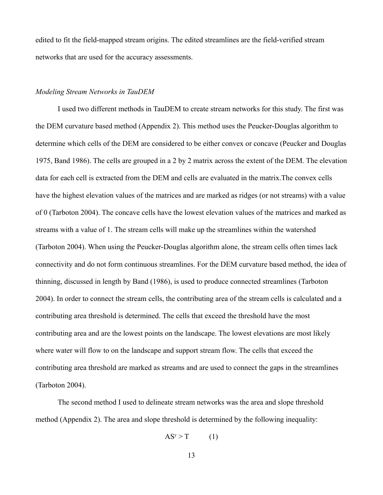edited to fit the field-mapped stream origins. The edited streamlines are the field-verified stream networks that are used for the accuracy assessments.

#### *Modeling Stream Networks in TauDEM*

I used two different methods in TauDEM to create stream networks for this study. The first was the DEM curvature based method (Appendix 2). This method uses the Peucker-Douglas algorithm to determine which cells of the DEM are considered to be either convex or concave (Peucker and Douglas 1975, Band 1986). The cells are grouped in a 2 by 2 matrix across the extent of the DEM. The elevation data for each cell is extracted from the DEM and cells are evaluated in the matrix.The convex cells have the highest elevation values of the matrices and are marked as ridges (or not streams) with a value of 0 (Tarboton 2004). The concave cells have the lowest elevation values of the matrices and marked as streams with a value of 1. The stream cells will make up the streamlines within the watershed (Tarboton 2004). When using the Peucker-Douglas algorithm alone, the stream cells often times lack connectivity and do not form continuous streamlines. For the DEM curvature based method, the idea of thinning, discussed in length by Band (1986), is used to produce connected streamlines (Tarboton 2004). In order to connect the stream cells, the contributing area of the stream cells is calculated and a contributing area threshold is determined. The cells that exceed the threshold have the most contributing area and are the lowest points on the landscape. The lowest elevations are most likely where water will flow to on the landscape and support stream flow. The cells that exceed the contributing area threshold are marked as streams and are used to connect the gaps in the streamlines (Tarboton 2004).

The second method I used to delineate stream networks was the area and slope threshold method (Appendix 2). The area and slope threshold is determined by the following inequality:

$$
AS^{y} > T \qquad (1)
$$

13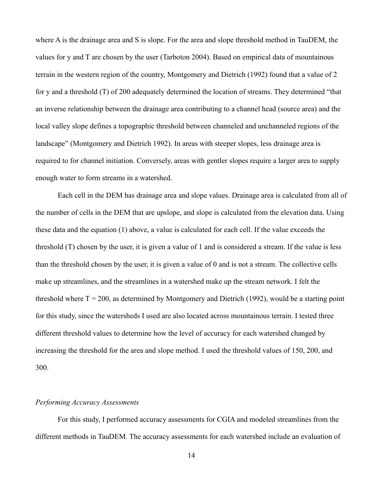where A is the drainage area and S is slope. For the area and slope threshold method in TauDEM, the values for y and T are chosen by the user (Tarboton 2004). Based on empirical data of mountainous terrain in the western region of the country, Montgomery and Dietrich (1992) found that a value of 2 for y and a threshold (T) of 200 adequately determined the location of streams. They determined "that an inverse relationship between the drainage area contributing to a channel head (source area) and the local valley slope defines a topographic threshold between channeled and unchanneled regions of the landscape" (Montgomery and Dietrich 1992). In areas with steeper slopes, less drainage area is required to for channel initiation. Conversely, areas with gentler slopes require a larger area to supply enough water to form streams in a watershed.

Each cell in the DEM has drainage area and slope values. Drainage area is calculated from all of the number of cells in the DEM that are upslope, and slope is calculated from the elevation data. Using these data and the equation (1) above, a value is calculated for each cell. If the value exceeds the threshold (T) chosen by the user, it is given a value of 1 and is considered a stream. If the value is less than the threshold chosen by the user, it is given a value of 0 and is not a stream. The collective cells make up streamlines, and the streamlines in a watershed make up the stream network. I felt the threshold where  $T = 200$ , as determined by Montgomery and Dietrich (1992), would be a starting point for this study, since the watersheds I used are also located across mountainous terrain. I tested three different threshold values to determine how the level of accuracy for each watershed changed by increasing the threshold for the area and slope method. I used the threshold values of 150, 200, and 300.

#### *Performing Accuracy Assessments*

For this study, I performed accuracy assessments for CGIA and modeled streamlines from the different methods in TauDEM. The accuracy assessments for each watershed include an evaluation of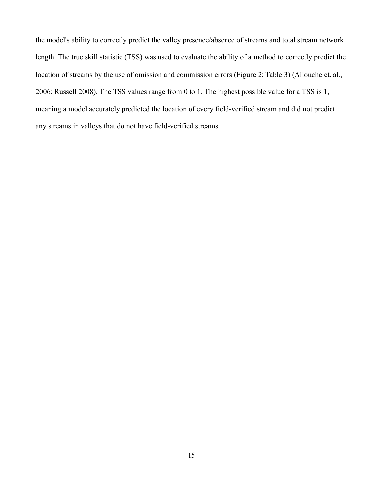the model's ability to correctly predict the valley presence/absence of streams and total stream network length. The true skill statistic (TSS) was used to evaluate the ability of a method to correctly predict the location of streams by the use of omission and commission errors (Figure 2; Table 3) (Allouche et. al., 2006; Russell 2008). The TSS values range from 0 to 1. The highest possible value for a TSS is 1, meaning a model accurately predicted the location of every field-verified stream and did not predict any streams in valleys that do not have field-verified streams.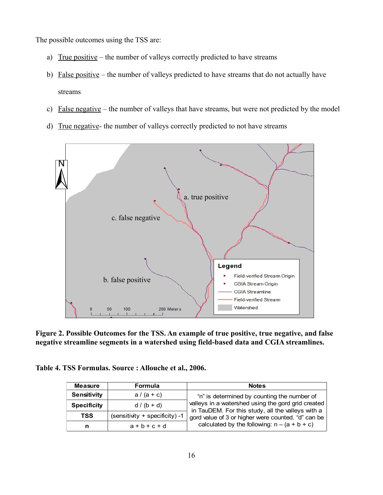The possible outcomes using the TSS are:

- a) True positive the number of valleys correctly predicted to have streams
- b) False positive the number of valleys predicted to have streams that do not actually have streams
- c) False negative the number of valleys that have streams, but were not predicted by the model
- d) True negative- the number of valleys correctly predicted to not have streams



**Figure 2. Possible Outcomes for the TSS. An example of true positive, true negative, and false negative streamline segments in a watershed using field-based data and CGIA streamlines.**

| Table 4. TSS Formulas. Source : Allouche et al., 2006. |  |  |
|--------------------------------------------------------|--|--|
|--------------------------------------------------------|--|--|

| <b>Measure</b>     | <b>Formula</b>                   | <b>Notes</b>                                                                                            |
|--------------------|----------------------------------|---------------------------------------------------------------------------------------------------------|
| Sensitivity        | $a/(a+c)$                        | "n" is determined by counting the number of                                                             |
| <b>Specificity</b> | $d/(b + d)$                      | valleys in a watershed using the gord grid created<br>in TauDEM. For this study, all the valleys with a |
| <b>TSS</b>         | $(sensitivity + specificity) -1$ | gord value of 3 or higher were counted. "d" can be                                                      |
| n                  | $a + b + c + d$                  | calculated by the following: $n - (a + b + c)$                                                          |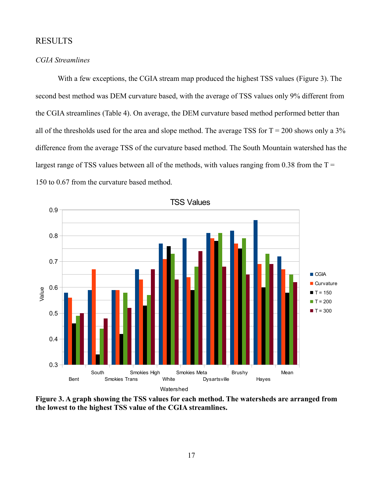## RESULTS

#### *CGIA Streamlines*

With a few exceptions, the CGIA stream map produced the highest TSS values (Figure 3). The second best method was DEM curvature based, with the average of TSS values only 9% different from the CGIA streamlines (Table 4). On average, the DEM curvature based method performed better than all of the thresholds used for the area and slope method. The average TSS for  $T = 200$  shows only a 3% difference from the average TSS of the curvature based method. The South Mountain watershed has the largest range of TSS values between all of the methods, with values ranging from 0.38 from the  $T =$ 150 to 0.67 from the curvature based method.



**Figure 3. A graph showing the TSS values for each method. The watersheds are arranged from the lowest to the highest TSS value of the CGIA streamlines.**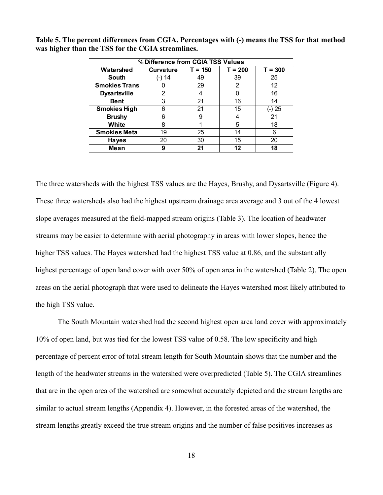| % Difference from CGIA TSS Values                                    |        |    |    |    |  |  |  |  |
|----------------------------------------------------------------------|--------|----|----|----|--|--|--|--|
| $T = 150$<br>$T = 200$<br>Watershed<br>$T = 300$<br><b>Curvature</b> |        |    |    |    |  |  |  |  |
| <b>South</b>                                                         | (-) 14 | 49 | 39 | 25 |  |  |  |  |
| <b>Smokies Trans</b>                                                 |        | 29 | 2  | 12 |  |  |  |  |
| <b>Dysartsville</b>                                                  | 2      |    | O  | 16 |  |  |  |  |
| <b>Bent</b>                                                          | 3      | 21 | 16 | 14 |  |  |  |  |
| <b>Smokies High</b>                                                  | 6      | 21 | 15 | 25 |  |  |  |  |
| <b>Brushy</b>                                                        | 6      | 9  | 4  | 21 |  |  |  |  |
| White                                                                | 8      |    | 5  | 18 |  |  |  |  |
| <b>Smokies Meta</b>                                                  | 19     | 25 | 14 | 6  |  |  |  |  |
| <b>Hayes</b>                                                         | 20     | 30 | 15 | 20 |  |  |  |  |
| Mean                                                                 | 9      | 21 | 12 | 18 |  |  |  |  |

**Table 5. The percent differences from CGIA. Percentages with (-) means the TSS for that method was higher than the TSS for the CGIA streamlines.** 

The three watersheds with the highest TSS values are the Hayes, Brushy, and Dysartsville (Figure 4). These three watersheds also had the highest upstream drainage area average and 3 out of the 4 lowest slope averages measured at the field-mapped stream origins (Table 3). The location of headwater streams may be easier to determine with aerial photography in areas with lower slopes, hence the higher TSS values. The Hayes watershed had the highest TSS value at 0.86, and the substantially highest percentage of open land cover with over 50% of open area in the watershed (Table 2). The open areas on the aerial photograph that were used to delineate the Hayes watershed most likely attributed to the high TSS value.

The South Mountain watershed had the second highest open area land cover with approximately 10% of open land, but was tied for the lowest TSS value of 0.58. The low specificity and high percentage of percent error of total stream length for South Mountain shows that the number and the length of the headwater streams in the watershed were overpredicted (Table 5). The CGIA streamlines that are in the open area of the watershed are somewhat accurately depicted and the stream lengths are similar to actual stream lengths (Appendix 4). However, in the forested areas of the watershed, the stream lengths greatly exceed the true stream origins and the number of false positives increases as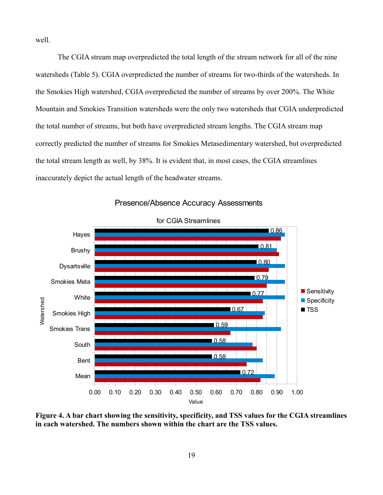well.

The CGIA stream map overpredicted the total length of the stream network for all of the nine watersheds (Table 5). CGIA overpredicted the number of streams for two-thirds of the watersheds. In the Smokies High watershed, CGIA overpredicted the number of streams by over 200%. The White Mountain and Smokies Transition watersheds were the only two watersheds that CGIA underpredicted the total number of streams, but both have overpredicted stream lengths. The CGIA stream map correctly predicted the number of streams for Smokies Metasedimentary watershed, but overpredicted the total stream length as well, by 38%. It is evident that, in most cases, the CGIA streamlines inaccurately depict the actual length of the headwater streams.



Presence/Absence Accuracy Assessments

**Figure 4. A bar chart showing the sensitivity, specificity, and TSS values for the CGIA streamlines in each watershed. The numbers shown within the chart are the TSS values.**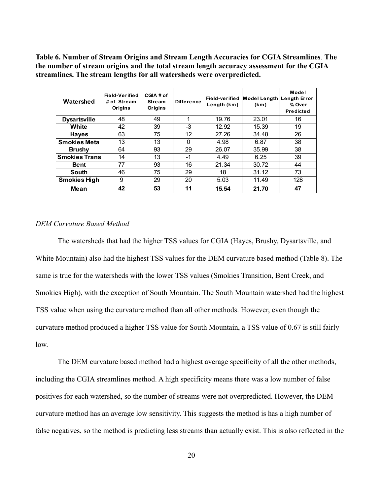**Table 6. Number of Stream Origins and Stream Length Accuracies for CGIA Streamlines**. **The the number of stream origins and the total stream length accuracy assessment for the CGIA streamlines. The stream lengths for all watersheds were overpredicted.**

| Watershed            | Field-Verified<br># of Stream<br>Origins | CGIA # of<br><b>Stream</b><br>Origins | <b>Difference</b> | Length (km) | Field-verified Model Length<br>(km) | Model<br>Length Error<br>% Over<br>Predicted |
|----------------------|------------------------------------------|---------------------------------------|-------------------|-------------|-------------------------------------|----------------------------------------------|
| <b>Dysartsville</b>  | 48                                       | 49                                    | 1                 | 19.76       | 23.01                               | 16                                           |
| White                | 42                                       | 39                                    | -3                | 12.92       | 15.39                               | 19                                           |
| <b>Hayes</b>         | 63                                       | 75                                    | 12                | 27.26       | 34.48                               | 26                                           |
| <b>Smokies Meta</b>  | 13                                       | 13                                    | 0                 | 4.98        | 6.87                                | 38                                           |
| <b>Brushy</b>        | 64                                       | 93                                    | 29                | 26.07       | 35.99                               | 38                                           |
| <b>Smokies Trans</b> | 14                                       | 13                                    | $-1$              | 4.49        | 6.25                                | 39                                           |
| <b>Bent</b>          | 77                                       | 93                                    | 16                | 21.34       | 30.72                               | 44                                           |
| South                | 46                                       | 75                                    | 29                | 18          | 31.12                               | 73                                           |
| <b>Smokies High</b>  | 9                                        | 29                                    | 20                | 5.03        | 11.49                               | 128                                          |
| Mean                 | 42                                       | 53                                    | 11                | 15.54       | 21.70                               | 47                                           |

#### *DEM Curvature Based Method*

The watersheds that had the higher TSS values for CGIA (Hayes, Brushy, Dysartsville, and White Mountain) also had the highest TSS values for the DEM curvature based method (Table 8). The same is true for the watersheds with the lower TSS values (Smokies Transition, Bent Creek, and Smokies High), with the exception of South Mountain. The South Mountain watershed had the highest TSS value when using the curvature method than all other methods. However, even though the curvature method produced a higher TSS value for South Mountain, a TSS value of 0.67 is still fairly low.

The DEM curvature based method had a highest average specificity of all the other methods, including the CGIA streamlines method. A high specificity means there was a low number of false positives for each watershed, so the number of streams were not overpredicted. However, the DEM curvature method has an average low sensitivity. This suggests the method is has a high number of false negatives, so the method is predicting less streams than actually exist. This is also reflected in the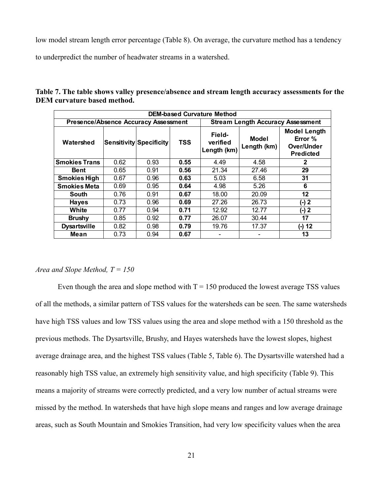low model stream length error percentage (Table 8). On average, the curvature method has a tendency

to underpredict the number of headwater streams in a watershed.

| <b>DEM-based Curvature Method</b>                                                       |      |                                |            |                                   |                      |                                                                  |
|-----------------------------------------------------------------------------------------|------|--------------------------------|------------|-----------------------------------|----------------------|------------------------------------------------------------------|
| <b>Presence/Absence Accuracy Assessment</b><br><b>Stream Length Accuracy Assessment</b> |      |                                |            |                                   |                      |                                                                  |
| Watershed                                                                               |      | <b>Sensitivity Specificity</b> | <b>TSS</b> | Field-<br>verified<br>Length (km) | Model<br>Length (km) | <b>Model Length</b><br>Error %<br>Over/Under<br><b>Predicted</b> |
| <b>Smokies Trans</b>                                                                    | 0.62 | 0.93                           | 0.55       | 4.49                              | 4.58                 | $\mathbf{2}$                                                     |
| Bent                                                                                    | 0.65 | 0.91                           | 0.56       | 21.34                             | 27.46                | 29                                                               |
| <b>Smokies High</b>                                                                     | 0.67 | 0.96                           | 0.63       | 5.03                              | 6.58                 | 31                                                               |
| <b>Smokies Meta</b>                                                                     | 0.69 | 0.95                           | 0.64       | 4.98                              | 5.26                 | 6                                                                |
| South                                                                                   | 0.76 | 0.91                           | 0.67       | 18.00                             | 20.09                | 12                                                               |
| <b>Hayes</b>                                                                            | 0.73 | 0.96                           | 0.69       | 27.26                             | 26.73                | (-) 2                                                            |
| White                                                                                   | 0.77 | 0.94                           | 0.71       | 12.92                             | 12.77                | (-) 2                                                            |
| <b>Brushy</b>                                                                           | 0.85 | 0.92                           | 0.77       | 26.07                             | 30.44                | 17                                                               |
| <b>Dysartsville</b>                                                                     | 0.82 | 0.98                           | 0.79       | 19.76                             | 17.37                | $(-) 12$                                                         |
| Mean                                                                                    | 0.73 | 0.94                           | 0.67       |                                   |                      | 13                                                               |

**Table 7. The table shows valley presence/absence and stream length accuracy assessments for the DEM curvature based method.** 

#### *Area and Slope Method, T = 150*

Even though the area and slope method with  $T = 150$  produced the lowest average TSS values of all the methods, a similar pattern of TSS values for the watersheds can be seen. The same watersheds have high TSS values and low TSS values using the area and slope method with a 150 threshold as the previous methods. The Dysartsville, Brushy, and Hayes watersheds have the lowest slopes, highest average drainage area, and the highest TSS values (Table 5, Table 6). The Dysartsville watershed had a reasonably high TSS value, an extremely high sensitivity value, and high specificity (Table 9). This means a majority of streams were correctly predicted, and a very low number of actual streams were missed by the method. In watersheds that have high slope means and ranges and low average drainage areas, such as South Mountain and Smokies Transition, had very low specificity values when the area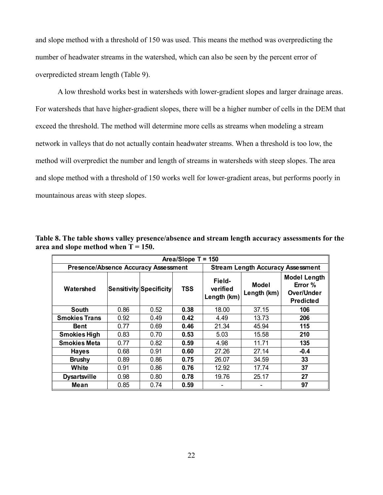and slope method with a threshold of 150 was used. This means the method was overpredicting the number of headwater streams in the watershed, which can also be seen by the percent error of overpredicted stream length (Table 9).

A low threshold works best in watersheds with lower-gradient slopes and larger drainage areas. For watersheds that have higher-gradient slopes, there will be a higher number of cells in the DEM that exceed the threshold. The method will determine more cells as streams when modeling a stream network in valleys that do not actually contain headwater streams. When a threshold is too low, the method will overpredict the number and length of streams in watersheds with steep slopes. The area and slope method with a threshold of 150 works well for lower-gradient areas, but performs poorly in mountainous areas with steep slopes.

| Area/Slope T = 150                   |      |                                |            |                                          |                      |                                                                  |
|--------------------------------------|------|--------------------------------|------------|------------------------------------------|----------------------|------------------------------------------------------------------|
| Presence/Absence Accuracy Assessment |      |                                |            | <b>Stream Length Accuracy Assessment</b> |                      |                                                                  |
| Watershed                            |      | <b>Sensitivity Specificity</b> | <b>TSS</b> | Field-<br>verified<br>Length (km)        | Model<br>Length (km) | <b>Model Length</b><br>Error %<br>Over/Under<br><b>Predicted</b> |
| <b>South</b>                         | 0.86 | 0.52                           | 0.38       | 18.00                                    | 37.15                | 106                                                              |
| <b>Smokies Trans</b>                 | 0.92 | 0.49                           | 0.42       | 4.49                                     | 13.73                | 206                                                              |
| <b>Bent</b>                          | 0.77 | 0.69                           | 0.46       | 21.34                                    | 45.94                | 115                                                              |
| <b>Smokies High</b>                  | 0.83 | 0.70                           | 0.53       | 5.03                                     | 15.58                | 210                                                              |
| <b>Smokies Meta</b>                  | 0.77 | 0.82                           | 0.59       | 4.98                                     | 11.71                | 135                                                              |
| <b>Hayes</b>                         | 0.68 | 0.91                           | 0.60       | 27.26                                    | 27.14                | $-0.4$                                                           |
| <b>Brushy</b>                        | 0.89 | 0.86                           | 0.75       | 26.07                                    | 34.59                | 33                                                               |
| White                                | 0.91 | 0.86                           | 0.76       | 12.92                                    | 17.74                | 37                                                               |
| <b>Dysartsville</b>                  | 0.98 | 0.80                           | 0.78       | 19.76                                    | 25.17                | 27                                                               |
| Mean                                 | 0.85 | 0.74                           | 0.59       |                                          |                      | 97                                                               |

**Table 8. The table shows valley presence/absence and stream length accuracy assessments for the area and slope method when T = 150.**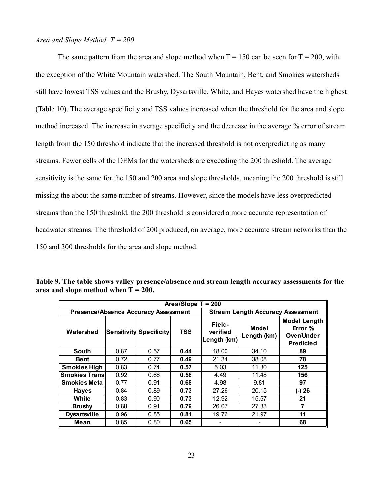#### *Area and Slope Method, T = 200*

The same pattern from the area and slope method when  $T = 150$  can be seen for  $T = 200$ , with the exception of the White Mountain watershed. The South Mountain, Bent, and Smokies watersheds still have lowest TSS values and the Brushy, Dysartsville, White, and Hayes watershed have the highest (Table 10). The average specificity and TSS values increased when the threshold for the area and slope method increased. The increase in average specificity and the decrease in the average % error of stream length from the 150 threshold indicate that the increased threshold is not overpredicting as many streams. Fewer cells of the DEMs for the watersheds are exceeding the 200 threshold. The average sensitivity is the same for the 150 and 200 area and slope thresholds, meaning the 200 threshold is still missing the about the same number of streams. However, since the models have less overpredicted streams than the 150 threshold, the 200 threshold is considered a more accurate representation of headwater streams. The threshold of 200 produced, on average, more accurate stream networks than the 150 and 300 thresholds for the area and slope method.

| Area/Slope $T = 200$                        |      |                         |            |                                          |                      |                                                                  |
|---------------------------------------------|------|-------------------------|------------|------------------------------------------|----------------------|------------------------------------------------------------------|
| <b>Presence/Absence Accuracy Assessment</b> |      |                         |            | <b>Stream Length Accuracy Assessment</b> |                      |                                                                  |
| Watershed                                   |      | Sensitivity Specificity | <b>TSS</b> | Field-<br>verified<br>Length (km)        | Model<br>Length (km) | <b>Model Length</b><br>Error %<br>Over/Under<br><b>Predicted</b> |
| <b>South</b>                                | 0.87 | 0.57                    | 0.44       | 18.00                                    | 34.10                | 89                                                               |
| <b>Bent</b>                                 | 0.72 | 0.77                    | 0.49       | 21.34                                    | 38.08                | 78                                                               |
| <b>Smokies High</b>                         | 0.83 | 0.74                    | 0.57       | 5.03                                     | 11.30                | 125                                                              |
| <b>Smokies Trans</b>                        | 0.92 | 0.66                    | 0.58       | 4.49                                     | 11.48                | 156                                                              |
| <b>Smokies Meta</b>                         | 0.77 | 0.91                    | 0.68       | 4.98                                     | 9.81                 | 97                                                               |
| <b>Haves</b>                                | 0.84 | 0.89                    | 0.73       | 27.26                                    | 20.15                | (-) 26                                                           |
| White                                       | 0.83 | 0.90                    | 0.73       | 12.92                                    | 15.67                | 21                                                               |
| <b>Brushy</b>                               | 0.88 | 0.91                    | 0.79       | 26.07                                    | 27.83                | 7                                                                |
| <b>Dysartsville</b>                         | 0.96 | 0.85                    | 0.81       | 19.76                                    | 21.97                | 11                                                               |
| Mean                                        | 0.85 | 0.80                    | 0.65       |                                          |                      | 68                                                               |

**Table 9. The table shows valley presence/absence and stream length accuracy assessments for the area and slope method when T = 200.**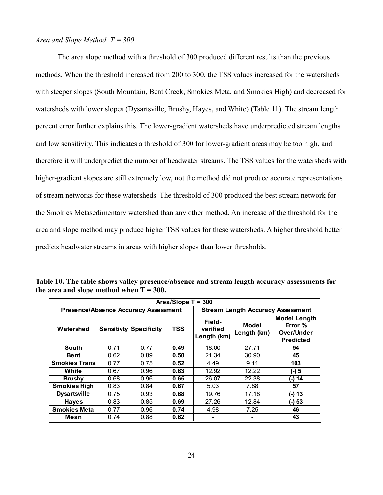#### *Area and Slope Method, T = 300*

The area slope method with a threshold of 300 produced different results than the previous methods. When the threshold increased from 200 to 300, the TSS values increased for the watersheds with steeper slopes (South Mountain, Bent Creek, Smokies Meta, and Smokies High) and decreased for watersheds with lower slopes (Dysartsville, Brushy, Hayes, and White) (Table 11). The stream length percent error further explains this. The lower-gradient watersheds have underpredicted stream lengths and low sensitivity. This indicates a threshold of 300 for lower-gradient areas may be too high, and therefore it will underpredict the number of headwater streams. The TSS values for the watersheds with higher-gradient slopes are still extremely low, not the method did not produce accurate representations of stream networks for these watersheds. The threshold of 300 produced the best stream network for the Smokies Metasedimentary watershed than any other method. An increase of the threshold for the area and slope method may produce higher TSS values for these watersheds. A higher threshold better predicts headwater streams in areas with higher slopes than lower thresholds.

| Area/Slope $T = 300$                        |      |                               |            |                                          |                      |                                                                  |
|---------------------------------------------|------|-------------------------------|------------|------------------------------------------|----------------------|------------------------------------------------------------------|
| <b>Presence/Absence Accuracy Assessment</b> |      |                               |            | <b>Stream Length Accuracy Assessment</b> |                      |                                                                  |
| Watershed                                   |      | <b>Sensitivty Specificity</b> | <b>TSS</b> | Field-<br>verified<br>Length (km)        | Model<br>Length (km) | <b>Model Length</b><br>Error %<br>Over/Under<br><b>Predicted</b> |
| South                                       | 0.71 | 0.77                          | 0.49       | 18.00                                    | 27.71                | 54                                                               |
| <b>Bent</b>                                 | 0.62 | 0.89                          | 0.50       | 21.34                                    | 30.90                | 45                                                               |
| <b>Smokies Trans</b>                        | 0.77 | 0.75                          | 0.52       | 4.49                                     | 9.11                 | 103                                                              |
| White                                       | 0.67 | 0.96                          | 0.63       | 12.92                                    | 12.22                | (-) 5                                                            |
| <b>Brushy</b>                               | 0.68 | 0.96                          | 0.65       | 26.07                                    | 22.38                | (-) 14                                                           |
| <b>Smokies High</b>                         | 0.83 | 0.84                          | 0.67       | 5.03                                     | 7.88                 | 57                                                               |
| <b>Dysartsville</b>                         | 0.75 | 0.93                          | 0.68       | 19.76                                    | 17.18                | (-) 13                                                           |
| <b>Hayes</b>                                | 0.83 | 0.85                          | 0.69       | 27.26                                    | 12.84                | (-) 53                                                           |
| <b>Smokies Meta</b>                         | 0.77 | 0.96                          | 0.74       | 4.98                                     | 7.25                 | 46                                                               |
| Mean                                        | 0.74 | 0.88                          | 0.62       |                                          |                      | 43                                                               |

**Table 10. The table shows valley presence/absence and stream length accuracy assessments for**  the area and slope method when  $T = 300$ .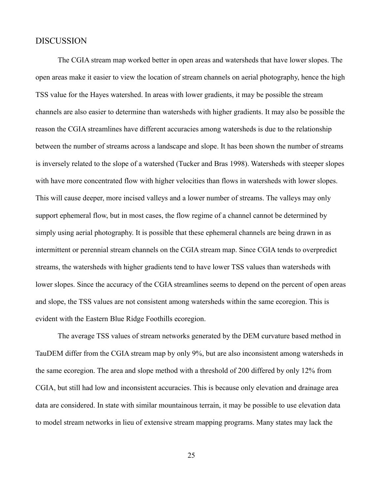#### DISCUSSION

The CGIA stream map worked better in open areas and watersheds that have lower slopes. The open areas make it easier to view the location of stream channels on aerial photography, hence the high TSS value for the Hayes watershed. In areas with lower gradients, it may be possible the stream channels are also easier to determine than watersheds with higher gradients. It may also be possible the reason the CGIA streamlines have different accuracies among watersheds is due to the relationship between the number of streams across a landscape and slope. It has been shown the number of streams is inversely related to the slope of a watershed (Tucker and Bras 1998). Watersheds with steeper slopes with have more concentrated flow with higher velocities than flows in watersheds with lower slopes. This will cause deeper, more incised valleys and a lower number of streams. The valleys may only support ephemeral flow, but in most cases, the flow regime of a channel cannot be determined by simply using aerial photography. It is possible that these ephemeral channels are being drawn in as intermittent or perennial stream channels on the CGIA stream map. Since CGIA tends to overpredict streams, the watersheds with higher gradients tend to have lower TSS values than watersheds with lower slopes. Since the accuracy of the CGIA streamlines seems to depend on the percent of open areas and slope, the TSS values are not consistent among watersheds within the same ecoregion. This is evident with the Eastern Blue Ridge Foothills ecoregion.

The average TSS values of stream networks generated by the DEM curvature based method in TauDEM differ from the CGIA stream map by only 9%, but are also inconsistent among watersheds in the same ecoregion. The area and slope method with a threshold of 200 differed by only 12% from CGIA, but still had low and inconsistent accuracies. This is because only elevation and drainage area data are considered. In state with similar mountainous terrain, it may be possible to use elevation data to model stream networks in lieu of extensive stream mapping programs. Many states may lack the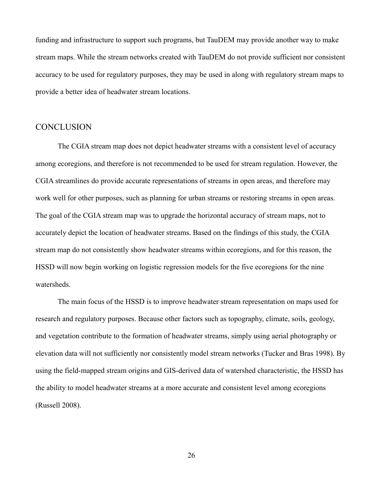funding and infrastructure to support such programs, but TauDEM may provide another way to make stream maps. While the stream networks created with TauDEM do not provide sufficient nor consistent accuracy to be used for regulatory purposes, they may be used in along with regulatory stream maps to provide a better idea of headwater stream locations.

#### **CONCLUSION**

The CGIA stream map does not depict headwater streams with a consistent level of accuracy among ecoregions, and therefore is not recommended to be used for stream regulation. However, the CGIA streamlines do provide accurate representations of streams in open areas, and therefore may work well for other purposes, such as planning for urban streams or restoring streams in open areas. The goal of the CGIA stream map was to upgrade the horizontal accuracy of stream maps, not to accurately depict the location of headwater streams. Based on the findings of this study, the CGIA stream map do not consistently show headwater streams within ecoregions, and for this reason, the HSSD will now begin working on logistic regression models for the five ecoregions for the nine watersheds.

The main focus of the HSSD is to improve headwater stream representation on maps used for research and regulatory purposes. Because other factors such as topography, climate, soils, geology, and vegetation contribute to the formation of headwater streams, simply using aerial photography or elevation data will not sufficiently nor consistently model stream networks (Tucker and Bras 1998). By using the field-mapped stream origins and GIS-derived data of watershed characteristic, the HSSD has the ability to model headwater streams at a more accurate and consistent level among ecoregions (Russell 2008).

26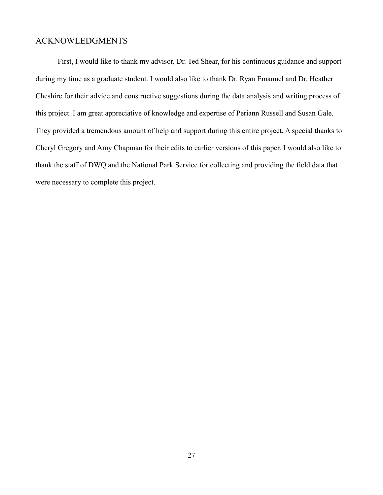## ACKNOWLEDGMENTS

First, I would like to thank my advisor, Dr. Ted Shear, for his continuous guidance and support during my time as a graduate student. I would also like to thank Dr. Ryan Emanuel and Dr. Heather Cheshire for their advice and constructive suggestions during the data analysis and writing process of this project. I am great appreciative of knowledge and expertise of Periann Russell and Susan Gale. They provided a tremendous amount of help and support during this entire project. A special thanks to Cheryl Gregory and Amy Chapman for their edits to earlier versions of this paper. I would also like to thank the staff of DWQ and the National Park Service for collecting and providing the field data that were necessary to complete this project.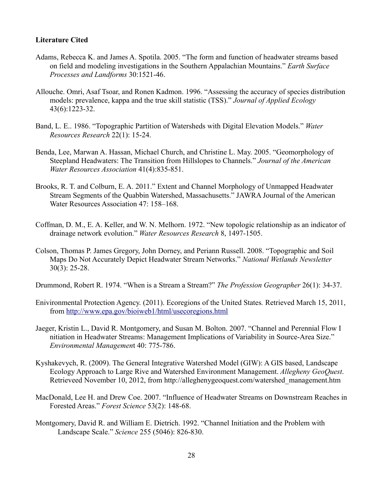#### **Literature Cited**

- Adams, Rebecca K. and James A. Spotila. 2005. "The form and function of headwater streams based on field and modeling investigations in the Southern Appalachian Mountains." *Earth Surface Processes and Landforms* 30:1521-46.
- Allouche. Omri, Asaf Tsoar, and Ronen Kadmon. 1996. "Assessing the accuracy of species distribution models: prevalence, kappa and the true skill statistic (TSS)." *Journal of Applied Ecology*  43(6):1223-32.
- Band, L. E.. 1986. "Topographic Partition of Watersheds with Digital Elevation Models." *Water Resources Research* 22(1): 15-24.
- Benda, Lee, Marwan A. Hassan, Michael Church, and Christine L. May. 2005. "Geomorphology of Steepland Headwaters: The Transition from Hillslopes to Channels." *Journal of the American Water Resources Association* 41(4):835-851.
- Brooks, R. T. and Colburn, E. A. 2011." Extent and Channel Morphology of Unmapped Headwater Stream Segments of the Quabbin Watershed, Massachusetts." JAWRA Journal of the American Water Resources Association 47: 158–168.
- Coffman, D. M., E. A. Keller, and W. N. Melhorn. 1972. "New topologic relationship as an indicator of drainage network evolution." *Water Resources Research* 8, 1497-1505.
- Colson, Thomas P. James Gregory, John Dorney, and Periann Russell. 2008. "Topographic and Soil Maps Do Not Accurately Depict Headwater Stream Networks." *National Wetlands Newsletter* 30(3): 25-28.

Drummond, Robert R. 1974. "When is a Stream a Stream?" *The Profession Geographer* 26(1): 34-37.

- Enivironmental Protection Agency. (2011). Ecoregions of the United States*.* Retrieved March 15, 2011, from<http://www.epa.gov/bioiweb1/html/usecoregions.html>
- Jaeger, Kristin L., David R. Montgomery, and Susan M. Bolton. 2007. "Channel and Perennial Flow I nitiation in Headwater Streams: Management Implications of Variability in Source-Area Size." *Environmental Managemen*t 40: 775-786.
- Kyshakevych, R. (2009). The General Integrative Watershed Model (GIW): A GIS based, Landscape Ecology Approach to Large Rive and Watershed Environment Management. *Allegheny GeoQuest*. Retrieveed November 10, 2012, from http://alleghenygeoquest.com/watershed\_management.htm
- MacDonald, Lee H. and Drew Coe. 2007. "Influence of Headwater Streams on Downstream Reaches in Forested Areas." *Forest Science* 53(2): 148-68.
- Montgomery, David R. and William E. Dietrich. 1992. "Channel Initiation and the Problem with Landscape Scale." *Science* 255 (5046): 826-830.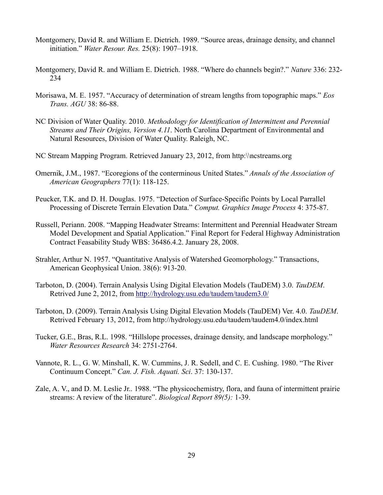- Montgomery, David R. and William E. Dietrich. 1989. "Source areas, drainage density, and channel initiation." *Water Resour. Res.* 25(8): 1907–1918.
- Montgomery, David R. and William E. Dietrich. 1988. "Where do channels begin?." *Nature* 336: 232- 234
- Morisawa, M. E. 1957. "Accuracy of determination of stream lengths from topographic maps." *Eos Trans. AGU* 38: 86-88.
- NC Division of Water Quality. 2010. *Methodology for Identification of Intermittent and Perennial Streams and Their Origins, Version 4.11*. North Carolina Department of Environmental and Natural Resources, Division of Water Quality. Raleigh, NC.
- NC Stream Mapping Program. Retrieved January 23, 2012, from http:\\ncstreams.org
- Omernik, J.M., 1987. "Ecoregions of the conterminous United States." *Annals of the Association of American Geographers* 77(1): 118-125.
- Peucker, T.K. and D. H. Douglas. 1975. "Detection of Surface-Specific Points by Local Parrallel Processing of Discrete Terrain Elevation Data." *Comput. Graphics Image Process* 4: 375-87.
- Russell, Periann. 2008. "Mapping Headwater Streams: Intermittent and Perennial Headwater Stream Model Development and Spatial Application." Final Report for Federal Highway Administration Contract Feasability Study WBS: 36486.4.2. January 28, 2008.
- Strahler, Arthur N. 1957. "Quantitative Analysis of Watershed Geomorphology." Transactions, American Geophysical Union. 38(6): 913-20.
- Tarboton, D. (2004). Terrain Analysis Using Digital Elevation Models (TauDEM) 3.0. *TauDEM*. Retrived June 2, 2012, from<http://hydrology.usu.edu/taudem/taudem3.0/>
- Tarboton, D. (2009). Terrain Analysis Using Digital Elevation Models (TauDEM) Ver. 4.0. *TauDEM*. Retrived February 13, 2012, from http://hydrology.usu.edu/taudem/taudem4.0/index.html
- Tucker, G.E., Bras, R.L. 1998. "Hillslope processes, drainage density, and landscape morphology." *Water Resources Research* 34: 2751-2764.
- Vannote, R. L., G. W. Minshall, K. W. Cummins, J. R. Sedell, and C. E. Cushing. 1980. "The River Continuum Concept." *Can. J. Fish. Aquati. Sci*. 37: 130-137.
- Zale, A. V., and D. M. Leslie Jr.. 1988. "The physicochemistry, flora, and fauna of intermittent prairie streams: A review of the literature". *Biological Report 89(5):* 1-39.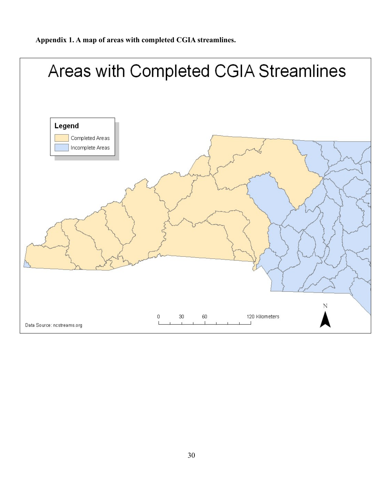**Appendix 1. A map of areas with completed CGIA streamlines.**

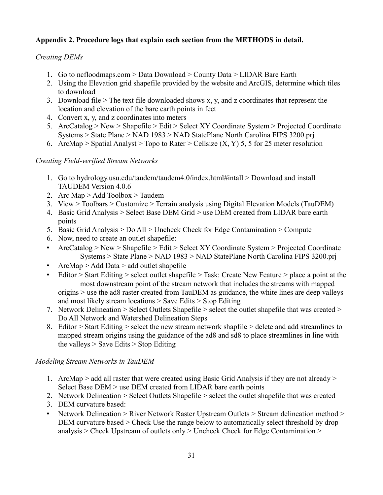## **Appendix 2. Procedure logs that explain each section from the METHODS in detail.**

## *Creating DEMs*

- 1. Go to ncfloodmaps.com > Data Download > County Data > LIDAR Bare Earth
- 2. Using the Elevation grid shapefile provided by the website and ArcGIS, determine which tiles to download
- 3. Download file  $>$  The text file downloaded shows x, y, and z coordinates that represent the location and elevation of the bare earth points in feet
- 4. Convert x, y, and z coordinates into meters
- 5. ArcCatalog > New > Shapefile > Edit > Select XY Coordinate System > Projected Coordinate Systems > State Plane > NAD 1983 > NAD StatePlane North Carolina FIPS 3200.prj
- 6. ArcMap > Spatial Analyst > Topo to Rater > Cellsize  $(X, Y)$  5, 5 for 25 meter resolution

## *Creating Field-verified Stream Networks*

- 1. Go to hydrology.usu.edu/taudem/taudem4.0/index.html#intall > Download and install TAUDEM Version 4.0.6
- 2. Arc Map > Add Toolbox > Taudem
- 3. View > Toolbars > Customize > Terrain analysis using Digital Elevation Models (TauDEM)
- 4. Basic Grid Analysis > Select Base DEM Grid > use DEM created from LIDAR bare earth points
- 5. Basic Grid Analysis > Do All > Uncheck Check for Edge Contamination > Compute
- 6. Now, need to create an outlet shapefile:
- ArcCatalog > New > Shapefile > Edit > Select XY Coordinate System > Projected Coordinate Systems > State Plane > NAD 1983 > NAD StatePlane North Carolina FIPS 3200.prj
- ArcMap > Add Data > add outlet shapefile
- Editor > Start Editing > select outlet shapefile > Task: Create New Feature > place a point at the most downstream point of the stream network that includes the streams with mapped origins > use the ad8 raster created from TauDEM as guidance, the white lines are deep valleys and most likely stream locations > Save Edits > Stop Editing
- 7. Network Delineation > Select Outlets Shapefile > select the outlet shapefile that was created > Do All Network and Watershed Delineation Steps
- 8. Editor > Start Editing > select the new stream network shapfile > delete and add streamlines to mapped stream origins using the guidance of the ad8 and sd8 to place streamlines in line with the valleys  $>$  Save Edits  $>$  Stop Editing

## *Modeling Stream Networks in TauDEM*

- 1. ArcMap > add all raster that were created using Basic Grid Analysis if they are not already > Select Base DEM > use DEM created from LIDAR bare earth points
- 2. Network Delineation > Select Outlets Shapefile > select the outlet shapefile that was created
- 3. DEM curvature based:
- Network Delineation > River Network Raster Upstream Outlets > Stream delineation method > DEM curvature based > Check Use the range below to automatically select threshold by drop analysis > Check Upstream of outlets only > Uncheck Check for Edge Contamination >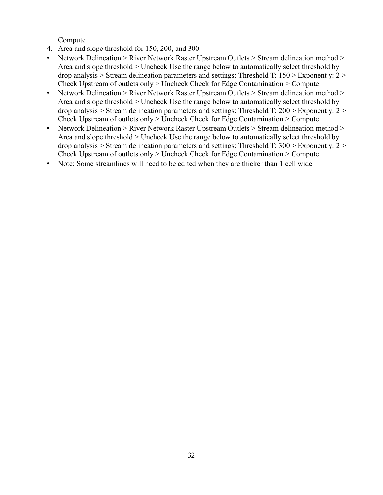Compute

- 4. Area and slope threshold for 150, 200, and 300
- Network Delineation > River Network Raster Upstream Outlets > Stream delineation method > Area and slope threshold > Uncheck Use the range below to automatically select threshold by drop analysis > Stream delineation parameters and settings: Threshold T: 150 > Exponent y: 2 > Check Upstream of outlets only > Uncheck Check for Edge Contamination > Compute
- Network Delineation > River Network Raster Upstream Outlets > Stream delineation method > Area and slope threshold > Uncheck Use the range below to automatically select threshold by drop analysis  $>$  Stream delineation parameters and settings: Threshold T: 200  $>$  Exponent y: 2  $>$ Check Upstream of outlets only > Uncheck Check for Edge Contamination > Compute
- Network Delineation > River Network Raster Upstream Outlets > Stream delineation method > Area and slope threshold > Uncheck Use the range below to automatically select threshold by drop analysis > Stream delineation parameters and settings: Threshold T: 300 > Exponent y: 2 > Check Upstream of outlets only > Uncheck Check for Edge Contamination > Compute
- Note: Some streamlines will need to be edited when they are thicker than 1 cell wide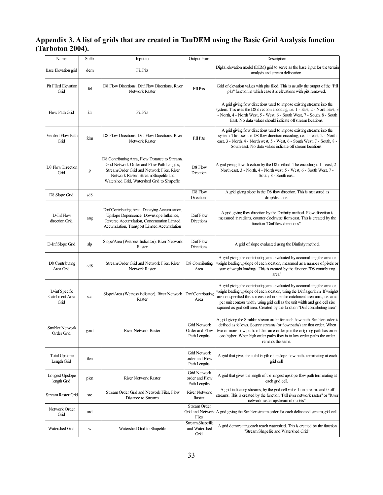#### **Appendix 3. A list of grids that are created in TauDEM using the Basic Grid Analysis function (Tarboton 2004).**

| Name                                     | Suffix          | Input to                                                                                                                                                                                                                          | Output from                                           | Description                                                                                                                                                                                                                                                                                                                                                                                                 |
|------------------------------------------|-----------------|-----------------------------------------------------------------------------------------------------------------------------------------------------------------------------------------------------------------------------------|-------------------------------------------------------|-------------------------------------------------------------------------------------------------------------------------------------------------------------------------------------------------------------------------------------------------------------------------------------------------------------------------------------------------------------------------------------------------------------|
| Base Elevation grid                      | dem             | <b>Fill Pits</b>                                                                                                                                                                                                                  |                                                       | Digital elevation model (DEM) grid to serve as the base input for the terrain<br>analysis and stream delineation.                                                                                                                                                                                                                                                                                           |
| Pit Filled Elevation<br>Grid             | fel             | D8 Flow Directions, Dinf Flow Directions, River<br>Network Raster                                                                                                                                                                 | <b>Fill Pits</b>                                      | Grid of elevation values with pits filled. This is usually the output of the "Fill<br>pits" function in which case it is elevations with pits removed.                                                                                                                                                                                                                                                      |
| Flow Path Grid                           | fdr             | <b>Fill Pits</b>                                                                                                                                                                                                                  |                                                       | A grid giving flow directions used to impose existing streams into the<br>system. This uses the D8 direction encoding, i.e. 1 - East, 2 - North East, 3<br>- North, 4 - North West, 5 - West, 6 - South West, 7 - South, 8 - South<br>East. No data values should indicate off stream locations.                                                                                                            |
| Verified Flow Path<br>Grid               | fdm             | D8 Flow Directions, Dinf Flow Directions, River<br>Network Raster                                                                                                                                                                 | <b>Fill Pits</b>                                      | A grid giving flow directions used to impose existing streams into the<br>system. This uses the D8 flow direction encoding, i.e. 1 - east, 2 - North<br>east, 3 - North, 4 - North west, 5 - West, 6 - South West, 7 - South, 8 -<br>South east. No data values indicate off stream locations.                                                                                                              |
| D8 Flow Direction<br>Grid                | p               | D8 Contributing Area, Flow Distance to Streams,<br>Grid Network Order and Flow Path Lengths,<br>Stream Order Grid and Network Files, River<br>Network Raster, Stream Shapefile and<br>Watershed Grid, Watershed Grid to Shapefile | D8 Flow<br>Direction                                  | A grid giving flow direction by the D8 method. The encoding is 1 - east, 2 -<br>North east, 3 - North, 4 - North west, 5 - West, 6 - South West, 7 -<br>South, 8 - South east.                                                                                                                                                                                                                              |
| D8 Slope Grid                            | sd8             |                                                                                                                                                                                                                                   | D8 Flow<br>Directions                                 | A grid giving slope in the D8 flow direction. This is measured as<br>drop/distance.                                                                                                                                                                                                                                                                                                                         |
| D-InfFlow<br>direction Grid              | ang             | Dinf Contributing Area, Decaying Accumulation,<br>Upslope Depencence, Downslope Influence,<br>Reverse Accumulation, Concentration Limited<br>Accumulation, Transport Limited Accumulation                                         | Dinf Flow<br>Directions                               | A grid giving flow direction by the Dinfinity method. Flow direction is<br>measured in radians, counter clockwise from east. This is created by the<br>function "Dinf flow directions".                                                                                                                                                                                                                     |
| D-Inf Slope Grid                         | slp             | Slope/Area (Wetness Indicator), River Network<br>Raster                                                                                                                                                                           | Dinf Flow<br>Directions                               | A grid of slope evaluated using the Dinfinity method.                                                                                                                                                                                                                                                                                                                                                       |
| D8 Contributing<br>Area Grid             | ad <sub>8</sub> | Stream Order Grid and Network Files, River<br>Network Raster                                                                                                                                                                      | D8 Contributing<br>Area                               | A grid giving the contributing area evaluated by accumulating the area or<br>weight loading upslope of each location, measured as a number of pixels or<br>sum of weight loadings. This is created by the function "D8 contributing<br>area"                                                                                                                                                                |
| D-inf Specific<br>Catchment Area<br>Grid | sca             | Slope/Area (Wetness indicator), River Network   Dinf Contributing<br>Raster                                                                                                                                                       | Area                                                  | A grid giving the contributing area evaluated by accumulating the area or<br>weight loading upslope of each location, using the Dinf algorithm. If weights<br>are not specified this is measured in specific catchment area units, i.e. area<br>per unit contour width, using grid cell as the unit width and grid cell size<br>squared as grid cell area. Created by the function "Dinf contributing area" |
| <b>Strahler Network</b><br>Order Grid    | gord            | <b>River Network Raster</b>                                                                                                                                                                                                       | Grid Network<br>Order and Flow<br>Path Lengths        | A grid giving the Strahler stream order for each flow path. Strahler order is<br>defined as follows. Source streams (or flow paths) are first order. When<br>two or more flow paths of the same order join the outgoing path has order<br>one higher. When high order paths flow in to low order paths the order<br>remains the same.                                                                       |
| <b>Total Upslope</b><br>Length Grid      | tlen            |                                                                                                                                                                                                                                   | <b>Grid Network</b><br>order and Flow<br>Path Lengths | A grid that gives the total length of upslope flow paths terminating at each<br>grid cell.                                                                                                                                                                                                                                                                                                                  |
| Longest Upslope<br>length Grid           | plen            | <b>River Network Raster</b>                                                                                                                                                                                                       | Grid Network<br>order and Flow<br>Path Lengths        | A grid that gives the length of the longest upslope flow path terminating at<br>each grid cell.                                                                                                                                                                                                                                                                                                             |
| <b>Stream Raster Grid</b>                | src             | Stream Order Grid and Network Files, Flow<br>Distance to Streams                                                                                                                                                                  | <b>River Network</b><br>Raster                        | A grid indicating streams, by the grid cell value 1 on streams and 0 off<br>streams. This is created by the function "Full river network raster" or "River<br>network raster upstream of outlets"                                                                                                                                                                                                           |
| Network Order<br>Grid                    | ord             |                                                                                                                                                                                                                                   | Stream Order<br>Files                                 | Grid and Network A grid giving the Strahler stream order for each delineated stream grid cell.                                                                                                                                                                                                                                                                                                              |
| Watershed Grid                           | W               | Watershed Grid to Shapefile                                                                                                                                                                                                       | Stream Shapefile<br>and Watershed<br>Grid             | A grid demarcating each reach watershed. This is created by the function<br>"Stream Shapefile and Watershed Grid"                                                                                                                                                                                                                                                                                           |